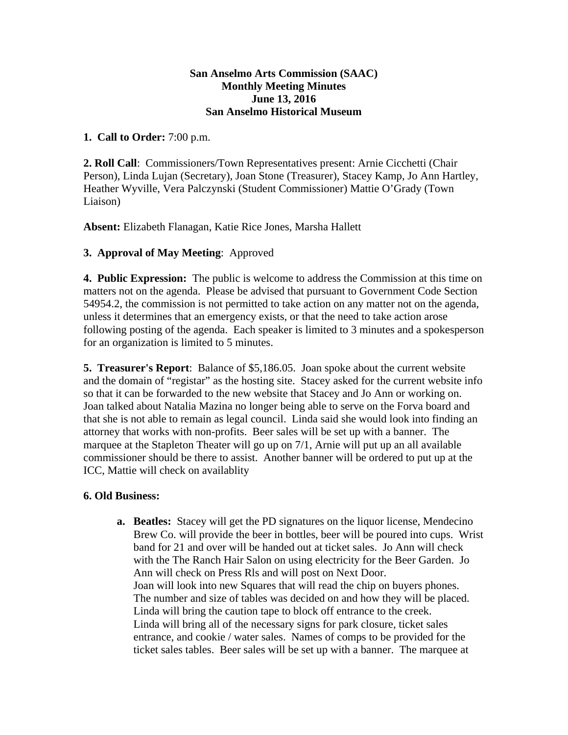## **San Anselmo Arts Commission (SAAC) Monthly Meeting Minutes June 13, 2016 San Anselmo Historical Museum**

## **1. Call to Order:** 7:00 p.m.

**2. Roll Call**: Commissioners/Town Representatives present: Arnie Cicchetti (Chair Person), Linda Lujan (Secretary), Joan Stone (Treasurer), Stacey Kamp, Jo Ann Hartley, Heather Wyville, Vera Palczynski (Student Commissioner) Mattie O'Grady (Town Liaison)

**Absent:** Elizabeth Flanagan, Katie Rice Jones, Marsha Hallett

## **3. Approval of May Meeting**: Approved

**4. Public Expression:** The public is welcome to address the Commission at this time on matters not on the agenda. Please be advised that pursuant to Government Code Section 54954.2, the commission is not permitted to take action on any matter not on the agenda, unless it determines that an emergency exists, or that the need to take action arose following posting of the agenda. Each speaker is limited to 3 minutes and a spokesperson for an organization is limited to 5 minutes.

**5. Treasurer's Report**: Balance of \$5,186.05. Joan spoke about the current website and the domain of "registar" as the hosting site. Stacey asked for the current website info so that it can be forwarded to the new website that Stacey and Jo Ann or working on. Joan talked about Natalia Mazina no longer being able to serve on the Forva board and that she is not able to remain as legal council. Linda said she would look into finding an attorney that works with non-profits. Beer sales will be set up with a banner. The marquee at the Stapleton Theater will go up on 7/1, Arnie will put up an all available commissioner should be there to assist. Another banner will be ordered to put up at the ICC, Mattie will check on availablity

## **6. Old Business:**

**a. Beatles:** Stacey will get the PD signatures on the liquor license, Mendecino Brew Co. will provide the beer in bottles, beer will be poured into cups. Wrist band for 21 and over will be handed out at ticket sales. Jo Ann will check with the The Ranch Hair Salon on using electricity for the Beer Garden. Jo Ann will check on Press Rls and will post on Next Door. Joan will look into new Squares that will read the chip on buyers phones. The number and size of tables was decided on and how they will be placed. Linda will bring the caution tape to block off entrance to the creek. Linda will bring all of the necessary signs for park closure, ticket sales entrance, and cookie / water sales. Names of comps to be provided for the ticket sales tables. Beer sales will be set up with a banner. The marquee at